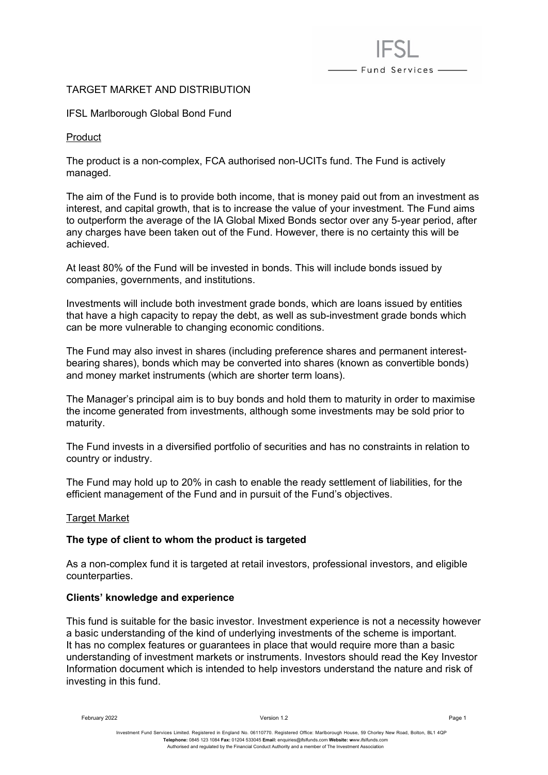# TARGET MARKET AND DISTRIBUTION

## IFSL Marlborough Global Bond Fund

#### Product

The product is a non-complex, FCA authorised non-UCITs fund. The Fund is actively managed.

The aim of the Fund is to provide both income, that is money paid out from an investment as interest, and capital growth, that is to increase the value of your investment. The Fund aims to outperform the average of the IA Global Mixed Bonds sector over any 5-year period, after any charges have been taken out of the Fund. However, there is no certainty this will be achieved.

- Fund Services -

At least 80% of the Fund will be invested in bonds. This will include bonds issued by companies, governments, and institutions.

Investments will include both investment grade bonds, which are loans issued by entities that have a high capacity to repay the debt, as well as sub-investment grade bonds which can be more vulnerable to changing economic conditions.

The Fund may also invest in shares (including preference shares and permanent interestbearing shares), bonds which may be converted into shares (known as convertible bonds) and money market instruments (which are shorter term loans).

The Manager's principal aim is to buy bonds and hold them to maturity in order to maximise the income generated from investments, although some investments may be sold prior to maturity.

The Fund invests in a diversified portfolio of securities and has no constraints in relation to country or industry.

The Fund may hold up to 20% in cash to enable the ready settlement of liabilities, for the efficient management of the Fund and in pursuit of the Fund's objectives.

#### Target Market

# **The type of client to whom the product is targeted**

As a non-complex fund it is targeted at retail investors, professional investors, and eligible counterparties.

#### **Clients' knowledge and experience**

This fund is suitable for the basic investor. Investment experience is not a necessity however a basic understanding of the kind of underlying investments of the scheme is important. It has no complex features or guarantees in place that would require more than a basic understanding of investment markets or instruments. Investors should read the Key Investor Information document which is intended to help investors understand the nature and risk of investing in this fund.

February 2022 Version 1.2 Page 1